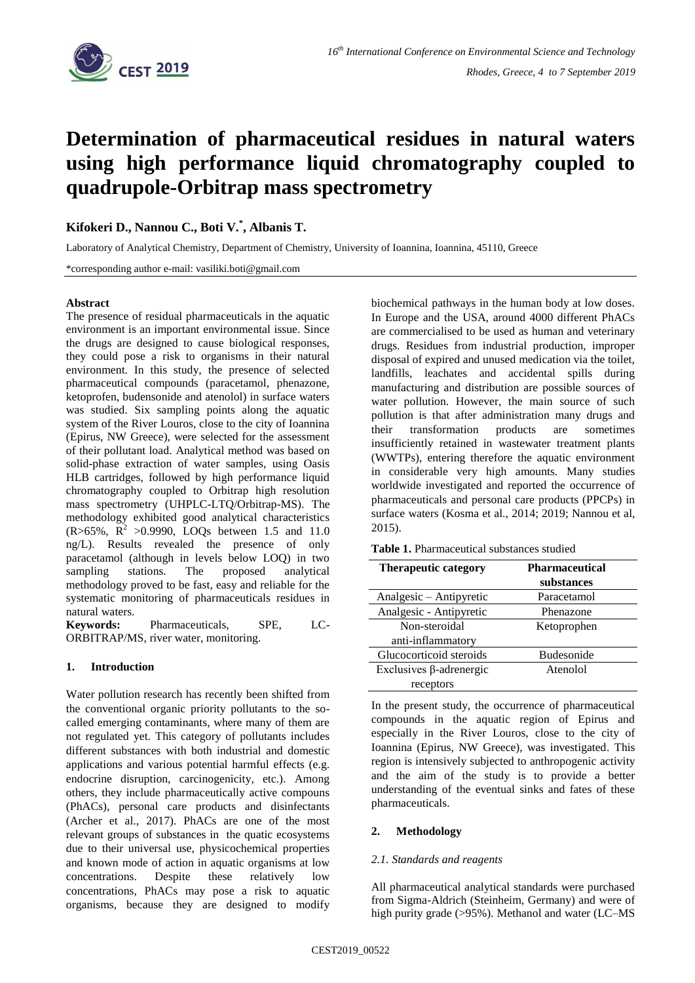

# **Determination of pharmaceutical residues in natural waters using high performance liquid chromatography coupled to quadrupole-Orbitrap mass spectrometry**

## **Kifokeri D., Nannou C., Boti V.\* , Albanis T.**

Laboratory of Analytical Chemistry, Department of Chemistry, University of Ioannina, Ioannina, 45110, Greece

\*corresponding author e-mail: vasiliki.boti@gmail.com

#### **Abstract**

The presence of residual pharmaceuticals in the aquatic environment is an important environmental issue. Since the drugs are designed to cause biological responses, they could pose a risk to organisms in their natural environment. In this study, the presence of selected pharmaceutical compounds (paracetamol, phenazone, ketoprofen, budensonide and atenolol) in surface waters was studied. Six sampling points along the aquatic system of the River Louros, close to the city of Ioannina (Epirus, NW Greece), were selected for the assessment of their pollutant load. Analytical method was based on solid-phase extraction of water samples, using Oasis HLB cartridges, followed by high performance liquid chromatography coupled to Orbitrap high resolution mass spectrometry (UHPLC-LTQ/Orbitrap-MS). The methodology exhibited good analytical characteristics  $(R > 65\%, R^2 > 0.9990, LOQs$  between 1.5 and 11.0 ng/L). Results revealed the presence of only paracetamol (although in levels below LOQ) in two sampling stations. The proposed analytical methodology proved to be fast, easy and reliable for the systematic monitoring of pharmaceuticals residues in natural waters.

**Keywords:** Pharmaceuticals, SPE, LC-ORBITRAP/MS, river water, monitoring.

## **1. Introduction**

Water pollution research has recently been shifted from the conventional organic priority pollutants to the socalled emerging contaminants, where many of them are not regulated yet. This category of pollutants includes different substances with both industrial and domestic applications and various potential harmful effects (e.g. endocrine disruption, carcinogenicity, etc.). Among others, they include pharmaceutically active compouns (PhACs), personal care products and disinfectants (Archer et al., 2017). PhACs are one of the most relevant groups of substances in the quatic ecosystems due to their universal use, physicochemical properties and known mode of action in aquatic organisms at low concentrations. Despite these relatively low concentrations, PhACs may pose a risk to aquatic organisms, because they are designed to modify biochemical pathways in the human body at low doses. In Europe and the USA, around 4000 different PhACs are commercialised to be used as human and veterinary drugs. Residues from industrial production, improper disposal of expired and unused medication via the toilet, landfills, leachates and accidental spills during manufacturing and distribution are possible sources of water pollution. However, the main source of such pollution is that after administration many drugs and their transformation products are sometimes insufficiently retained in wastewater treatment plants (WWTPs), entering therefore the aquatic environment in considerable very high amounts. Many studies worldwide investigated and reported the occurrence of pharmaceuticals and personal care products (PPCPs) in surface waters (Kosma et al., 2014; 2019; Nannou et al, 2015).

**Table 1.** Pharmaceutical substances studied

| <b>Therapeutic category</b>    | <b>Pharmaceutical</b> |
|--------------------------------|-----------------------|
|                                | substances            |
| Analgesic - Antipyretic        | Paracetamol           |
| Analgesic - Antipyretic        | Phenazone             |
| Non-steroidal                  | Ketoprophen           |
| anti-inflammatory              |                       |
| Glucocorticoid steroids        | <b>Budesonide</b>     |
| Exclusives $\beta$ -adrenergic | Atenolol              |
| receptors                      |                       |

In the present study, the occurrence of pharmaceutical compounds in the aquatic region of Epirus and especially in the River Louros, close to the city of Ioannina (Epirus, NW Greece), was investigated. This region is intensively subjected to anthropogenic activity and the aim of the study is to provide a better understanding of the eventual sinks and fates of these pharmaceuticals.

## **2. Methodology**

## *2.1. Standards and reagents*

All pharmaceutical analytical standards were purchased from Sigma-Aldrich (Steinheim, Germany) and were of high purity grade (>95%). Methanol and water (LC–MS